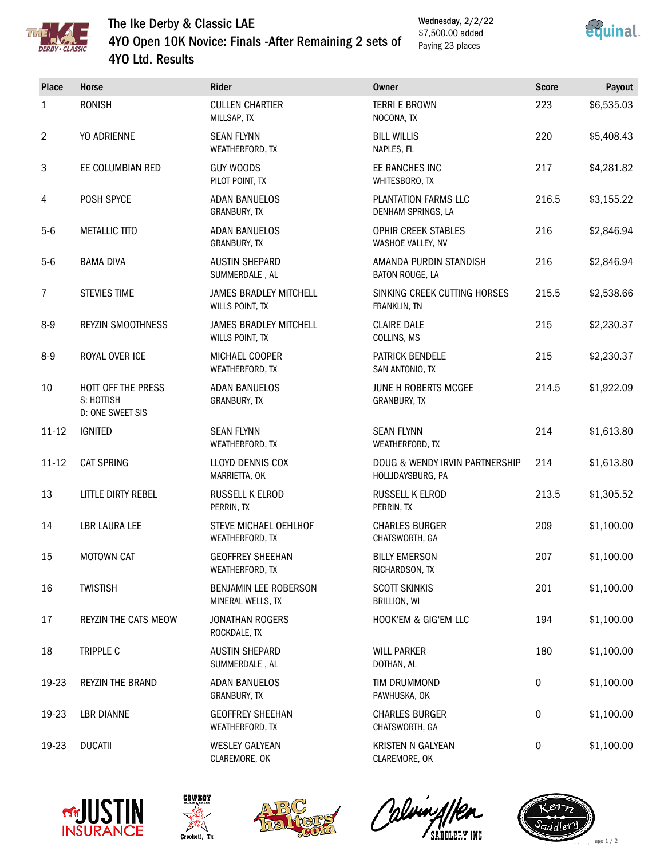

## The Ike Derby & Classic LAE 4YO Open 10K Novice: Finals -After Remaining 2 sets of 4YO Ltd. Results

Wednesday, 2/2/22 \$7,500.00 added Paying 23 places



| <b>Place</b> | Horse                                                | Rider                                            | <b>Owner</b>                                        | <b>Score</b>     | Payout     |
|--------------|------------------------------------------------------|--------------------------------------------------|-----------------------------------------------------|------------------|------------|
| 1            | <b>RONISH</b>                                        | <b>CULLEN CHARTIER</b><br>MILLSAP, TX            | <b>TERRI E BROWN</b><br>NOCONA, TX                  | 223              | \$6,535.03 |
| 2            | YO ADRIENNE                                          | <b>SEAN FLYNN</b><br>WEATHERFORD, TX             | <b>BILL WILLIS</b><br>NAPLES, FL                    | 220              | \$5,408.43 |
| 3            | EE COLUMBIAN RED                                     | <b>GUY WOODS</b><br>PILOT POINT, TX              | EE RANCHES INC<br>WHITESBORO, TX                    | 217              | \$4,281.82 |
| 4            | POSH SPYCE                                           | <b>ADAN BANUELOS</b><br>GRANBURY, TX             | PLANTATION FARMS LLC<br>DENHAM SPRINGS, LA          | 216.5            | \$3,155.22 |
| $5-6$        | <b>METALLIC TITO</b>                                 | <b>ADAN BANUELOS</b><br>GRANBURY, TX             | OPHIR CREEK STABLES<br>WASHOE VALLEY, NV            | 216              | \$2,846.94 |
| $5-6$        | <b>BAMA DIVA</b>                                     | <b>AUSTIN SHEPARD</b><br>SUMMERDALE, AL          | AMANDA PURDIN STANDISH<br>BATON ROUGE, LA           | 216              | \$2,846.94 |
| 7            | <b>STEVIES TIME</b>                                  | <b>JAMES BRADLEY MITCHELL</b><br>WILLS POINT, TX | SINKING CREEK CUTTING HORSES<br>FRANKLIN, TN        | 215.5            | \$2,538.66 |
| $8-9$        | <b>REYZIN SMOOTHNESS</b>                             | <b>JAMES BRADLEY MITCHELL</b><br>WILLS POINT, TX | <b>CLAIRE DALE</b><br>COLLINS, MS                   | 215              | \$2,230.37 |
| $8-9$        | ROYAL OVER ICE                                       | MICHAEL COOPER<br>WEATHERFORD, TX                | PATRICK BENDELE<br>SAN ANTONIO, TX                  | 215              | \$2,230.37 |
| 10           | HOTT OFF THE PRESS<br>S: HOTTISH<br>D: ONE SWEET SIS | <b>ADAN BANUELOS</b><br>GRANBURY, TX             | JUNE H ROBERTS MCGEE<br>GRANBURY, TX                | 214.5            | \$1,922.09 |
| $11 - 12$    | <b>IGNITED</b>                                       | <b>SEAN FLYNN</b><br>WEATHERFORD, TX             | <b>SEAN FLYNN</b><br>WEATHERFORD, TX                | 214              | \$1,613.80 |
| $11 - 12$    | <b>CAT SPRING</b>                                    | LLOYD DENNIS COX<br>MARRIETTA, OK                | DOUG & WENDY IRVIN PARTNERSHIP<br>HOLLIDAYSBURG, PA | 214              | \$1,613.80 |
| 13           | LITTLE DIRTY REBEL                                   | RUSSELL K ELROD<br>PERRIN, TX                    | RUSSELL K ELROD<br>PERRIN, TX                       | 213.5            | \$1,305.52 |
| 14           | LBR LAURA LEE                                        | STEVE MICHAEL OEHLHOF<br>WEATHERFORD, TX         | <b>CHARLES BURGER</b><br>CHATSWORTH, GA             | 209              | \$1,100.00 |
| 15           | MOTOWN CAT                                           | <b>GEOFFREY SHEEHAN</b><br>WEATHERFORD, TX       | <b>BILLY EMERSON</b><br>RICHARDSON, TX              | 207              | \$1,100.00 |
| 16           | <b>TWISTISH</b>                                      | BENJAMIN LEE ROBERSON<br>MINERAL WELLS, TX       | <b>SCOTT SKINKIS</b><br>BRILLION, WI                | 201              | \$1,100.00 |
| 17           | REYZIN THE CATS MEOW                                 | <b>JONATHAN ROGERS</b><br>ROCKDALE, TX           | HOOK'EM & GIG'EM LLC                                | 194              | \$1,100.00 |
| 18           | TRIPPLE C                                            | <b>AUSTIN SHEPARD</b><br>SUMMERDALE, AL          | <b>WILL PARKER</b><br>DOTHAN, AL                    | 180              | \$1,100.00 |
| 19-23        | REYZIN THE BRAND                                     | <b>ADAN BANUELOS</b><br>GRANBURY, TX             | TIM DRUMMOND<br>PAWHUSKA, OK                        | $\boldsymbol{0}$ | \$1,100.00 |
| 19-23        | <b>LBR DIANNE</b>                                    | <b>GEOFFREY SHEEHAN</b><br>WEATHERFORD, TX       | <b>CHARLES BURGER</b><br>CHATSWORTH, GA             | 0                | \$1,100.00 |
| 19-23        | <b>DUCATII</b>                                       | <b>WESLEY GALYEAN</b><br>CLAREMORE, OK           | KRISTEN N GALYEAN<br>CLAREMORE, OK                  | 0                | \$1,100.00 |